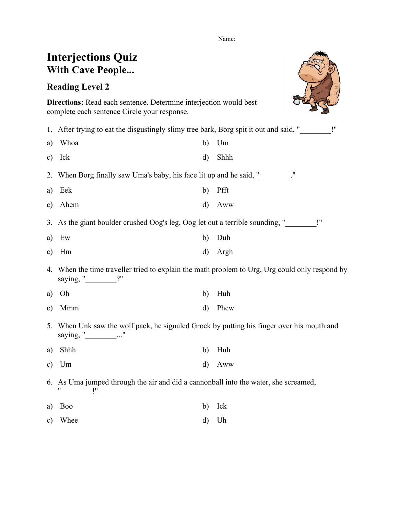Name:

| <b>Interjections Quiz</b><br><b>With Cave People</b>                                                                           |              |      |  |  |
|--------------------------------------------------------------------------------------------------------------------------------|--------------|------|--|--|
| <b>Reading Level 2</b>                                                                                                         |              |      |  |  |
| <b>Directions:</b> Read each sentence. Determine interjection would best<br>complete each sentence Circle your response.       |              |      |  |  |
| 1. After trying to eat the disgustingly slimy tree bark, Borg spit it out and said, "                                          |              |      |  |  |
| Whoa<br>a)                                                                                                                     | b)           | Um   |  |  |
| Ick<br>$\mathbf{c})$                                                                                                           | d)           | Shhh |  |  |
| When Borg finally saw Uma's baby, his face lit up and he said, "________."<br>2.                                               |              |      |  |  |
| Eek<br>a)                                                                                                                      | b)           | Pfft |  |  |
| Ahem<br>$\mathbf{c})$                                                                                                          | d)           | Aww  |  |  |
| As the giant boulder crushed Oog's leg, Oog let out a terrible sounding, "<br>3.                                               |              |      |  |  |
| Ew<br>a)                                                                                                                       | b)           | Duh  |  |  |
| Hm<br>$\mathbf{c})$                                                                                                            | d)           | Argh |  |  |
| When the time traveller tried to explain the math problem to Urg, Urg could only respond by<br>4.<br>saying, " $\frac{?}{?}$ " |              |      |  |  |
| Oh<br>a)                                                                                                                       | b)           | Huh  |  |  |
| Mmm<br>c)                                                                                                                      | $\mathbf{d}$ | Phew |  |  |
| When Unk saw the wolf pack, he signaled Grock by putting his finger over his mouth and<br>5.<br>saying, " $\frac{1}{\sqrt{2}}$ |              |      |  |  |
| Shhh<br>a)                                                                                                                     | b)           | Huh  |  |  |
| Um<br>$\mathbf{c})$                                                                                                            | d)           | Aww  |  |  |
| As Uma jumped through the air and did a cannonball into the water, she screamed,<br>6.                                         |              |      |  |  |
| <b>Boo</b><br>a)                                                                                                               | b)           | Ick  |  |  |
| Whee<br>C)                                                                                                                     | d)           | Uh   |  |  |